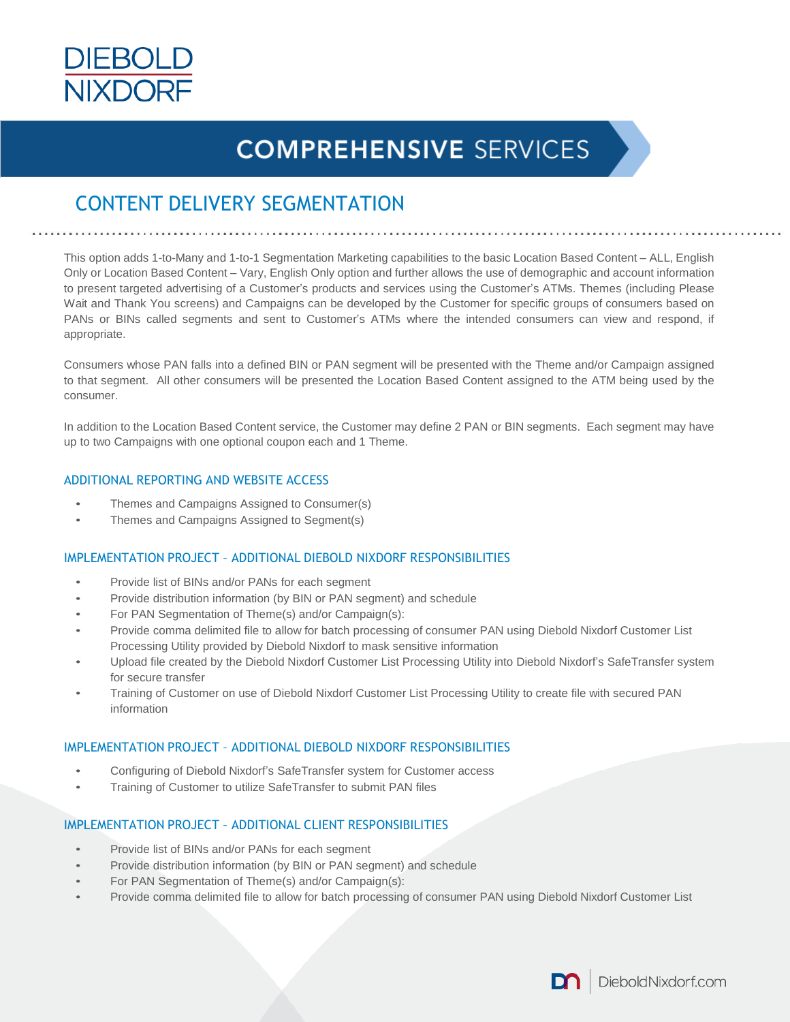

# **COMPREHENSIVE SERVICES**

# CONTENT DELIVERY SEGMENTATION

This option adds 1-to-Many and 1-to-1 Segmentation Marketing capabilities to the basic Location Based Content – ALL, English Only or Location Based Content – Vary, English Only option and further allows the use of demographic and account information to present targeted advertising of a Customer's products and services using the Customer's ATMs. Themes (including Please Wait and Thank You screens) and Campaigns can be developed by the Customer for specific groups of consumers based on PANs or BINs called segments and sent to Customer's ATMs where the intended consumers can view and respond, if appropriate.

Consumers whose PAN falls into a defined BIN or PAN segment will be presented with the Theme and/or Campaign assigned to that segment. All other consumers will be presented the Location Based Content assigned to the ATM being used by the consumer.

In addition to the Location Based Content service, the Customer may define 2 PAN or BIN segments. Each segment may have up to two Campaigns with one optional coupon each and 1 Theme.

### ADDITIONAL REPORTING AND WEBSITE ACCESS

- Themes and Campaigns Assigned to Consumer(s)
- Themes and Campaigns Assigned to Segment(s)

## IMPLEMENTATION PROJECT – ADDITIONAL DIEBOLD NIXDORF RESPONSIBILITIES

- Provide list of BINs and/or PANs for each segment
- Provide distribution information (by BIN or PAN segment) and schedule
- For PAN Segmentation of Theme(s) and/or Campaign(s):
- Provide comma delimited file to allow for batch processing of consumer PAN using Diebold Nixdorf Customer List Processing Utility provided by Diebold Nixdorf to mask sensitive information
- Upload file created by the Diebold Nixdorf Customer List Processing Utility into Diebold Nixdorf's SafeTransfer system for secure transfer
- Training of Customer on use of Diebold Nixdorf Customer List Processing Utility to create file with secured PAN information

### IMPLEMENTATION PROJECT – ADDITIONAL DIEBOLD NIXDORF RESPONSIBILITIES

- Configuring of Diebold Nixdorf's SafeTransfer system for Customer access
- Training of Customer to utilize SafeTransfer to submit PAN files

### IMPLEMENTATION PROJECT – ADDITIONAL CLIENT RESPONSIBILITIES

- Provide list of BINs and/or PANs for each segment
- Provide distribution information (by BIN or PAN segment) and schedule
- For PAN Segmentation of Theme(s) and/or Campaign(s):
- Provide comma delimited file to allow for batch processing of consumer PAN using Diebold Nixdorf Customer List